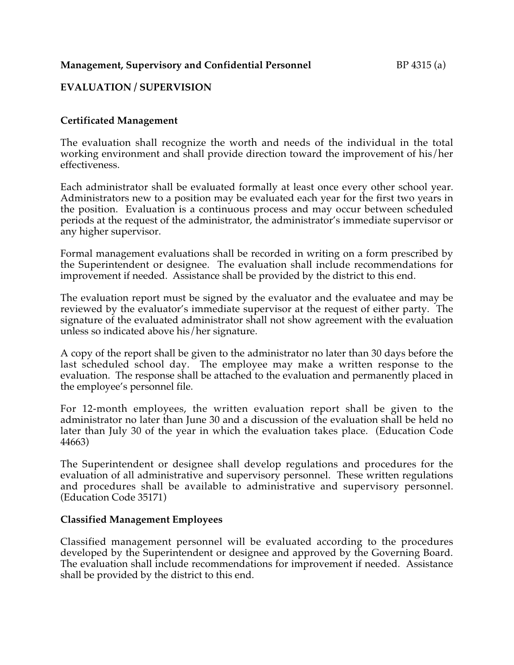### **Management, Supervisory and Confidential Personnel** BP 4315 (a)

# **EVALUATION / SUPERVISION**

### **Certificated Management**

The evaluation shall recognize the worth and needs of the individual in the total working environment and shall provide direction toward the improvement of his/her effectiveness.

Each administrator shall be evaluated formally at least once every other school year. Administrators new to a position may be evaluated each year for the first two years in the position. Evaluation is a continuous process and may occur between scheduled periods at the request of the administrator, the administrator's immediate supervisor or any higher supervisor.

Formal management evaluations shall be recorded in writing on a form prescribed by the Superintendent or designee. The evaluation shall include recommendations for improvement if needed. Assistance shall be provided by the district to this end.

The evaluation report must be signed by the evaluator and the evaluatee and may be reviewed by the evaluator's immediate supervisor at the request of either party. The signature of the evaluated administrator shall not show agreement with the evaluation unless so indicated above his/her signature.

A copy of the report shall be given to the administrator no later than 30 days before the last scheduled school day. The employee may make a written response to the evaluation. The response shall be attached to the evaluation and permanently placed in the employee's personnel file.

For 12-month employees, the written evaluation report shall be given to the administrator no later than June 30 and a discussion of the evaluation shall be held no later than July 30 of the year in which the evaluation takes place. (Education Code 44663)

The Superintendent or designee shall develop regulations and procedures for the evaluation of all administrative and supervisory personnel. These written regulations and procedures shall be available to administrative and supervisory personnel. (Education Code 35171)

#### **Classified Management Employees**

Classified management personnel will be evaluated according to the procedures developed by the Superintendent or designee and approved by the Governing Board. The evaluation shall include recommendations for improvement if needed. Assistance shall be provided by the district to this end.